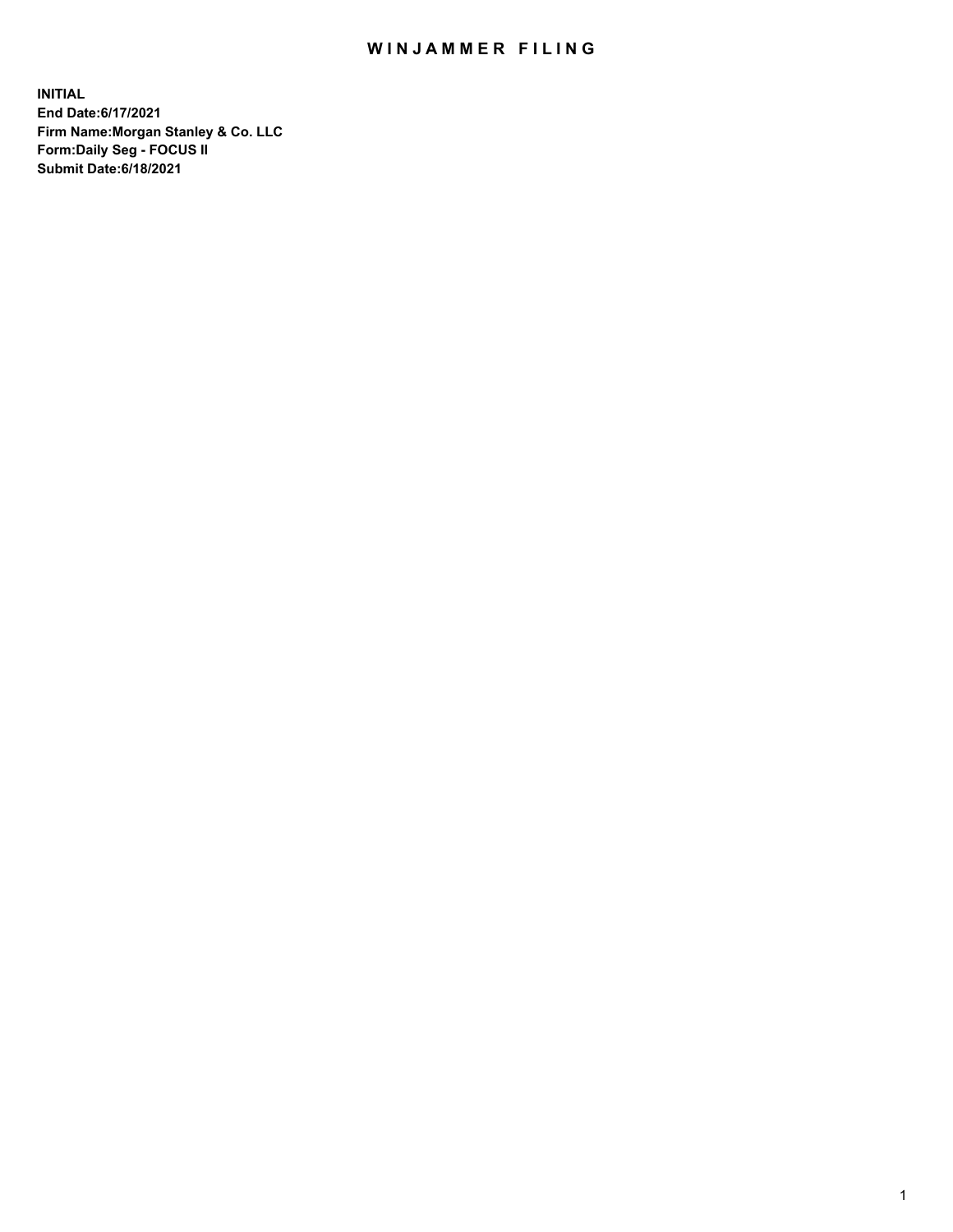## WIN JAMMER FILING

**INITIAL End Date:6/17/2021 Firm Name:Morgan Stanley & Co. LLC Form:Daily Seg - FOCUS II Submit Date:6/18/2021**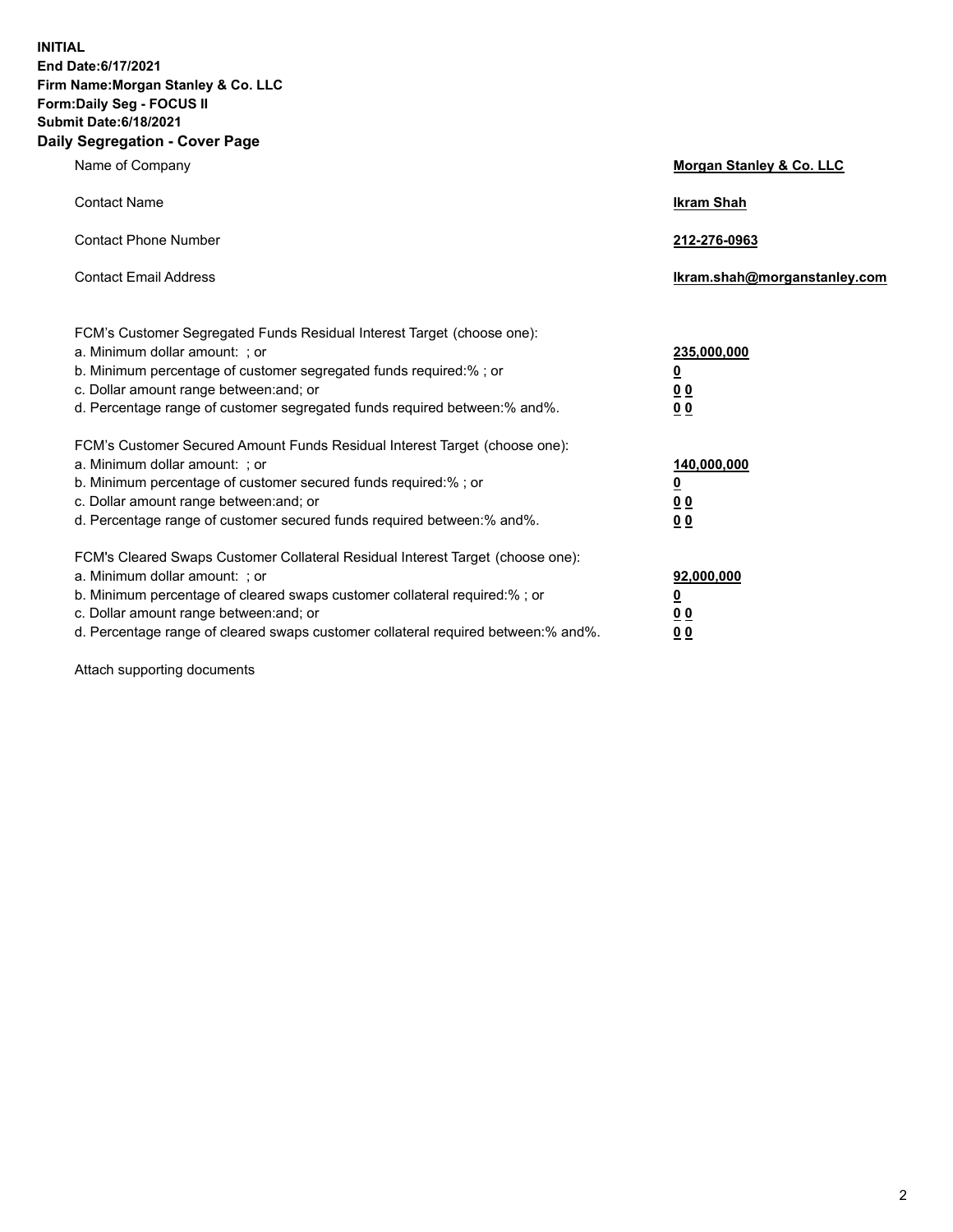**INITIAL End Date:6/17/2021 Firm Name:Morgan Stanley & Co. LLC Form:Daily Seg - FOCUS II Submit Date:6/18/2021 Daily Segregation - Cover Page**

| Name of Company                                                                                                                                                                                                                                                                                                                | <b>Morgan Stanley &amp; Co. LLC</b>                         |
|--------------------------------------------------------------------------------------------------------------------------------------------------------------------------------------------------------------------------------------------------------------------------------------------------------------------------------|-------------------------------------------------------------|
| <b>Contact Name</b>                                                                                                                                                                                                                                                                                                            | <b>Ikram Shah</b>                                           |
| <b>Contact Phone Number</b>                                                                                                                                                                                                                                                                                                    | 212-276-0963                                                |
| <b>Contact Email Address</b>                                                                                                                                                                                                                                                                                                   | Ikram.shah@morganstanley.com                                |
| FCM's Customer Segregated Funds Residual Interest Target (choose one):<br>a. Minimum dollar amount: ; or<br>b. Minimum percentage of customer segregated funds required:%; or<br>c. Dollar amount range between: and; or<br>d. Percentage range of customer segregated funds required between:% and%.                          | 235,000,000<br><u>0</u><br>0 <sub>0</sub><br>0 <sub>0</sub> |
| FCM's Customer Secured Amount Funds Residual Interest Target (choose one):<br>a. Minimum dollar amount: ; or<br>b. Minimum percentage of customer secured funds required:%; or<br>c. Dollar amount range between: and; or<br>d. Percentage range of customer secured funds required between:% and%.                            | 140,000,000<br><u>0</u><br>0 <sub>0</sub><br>0 <sub>0</sub> |
| FCM's Cleared Swaps Customer Collateral Residual Interest Target (choose one):<br>a. Minimum dollar amount: ; or<br>b. Minimum percentage of cleared swaps customer collateral required:% ; or<br>c. Dollar amount range between: and; or<br>d. Percentage range of cleared swaps customer collateral required between:% and%. | 92,000,000<br><u>0</u><br><u>00</u><br>00                   |

Attach supporting documents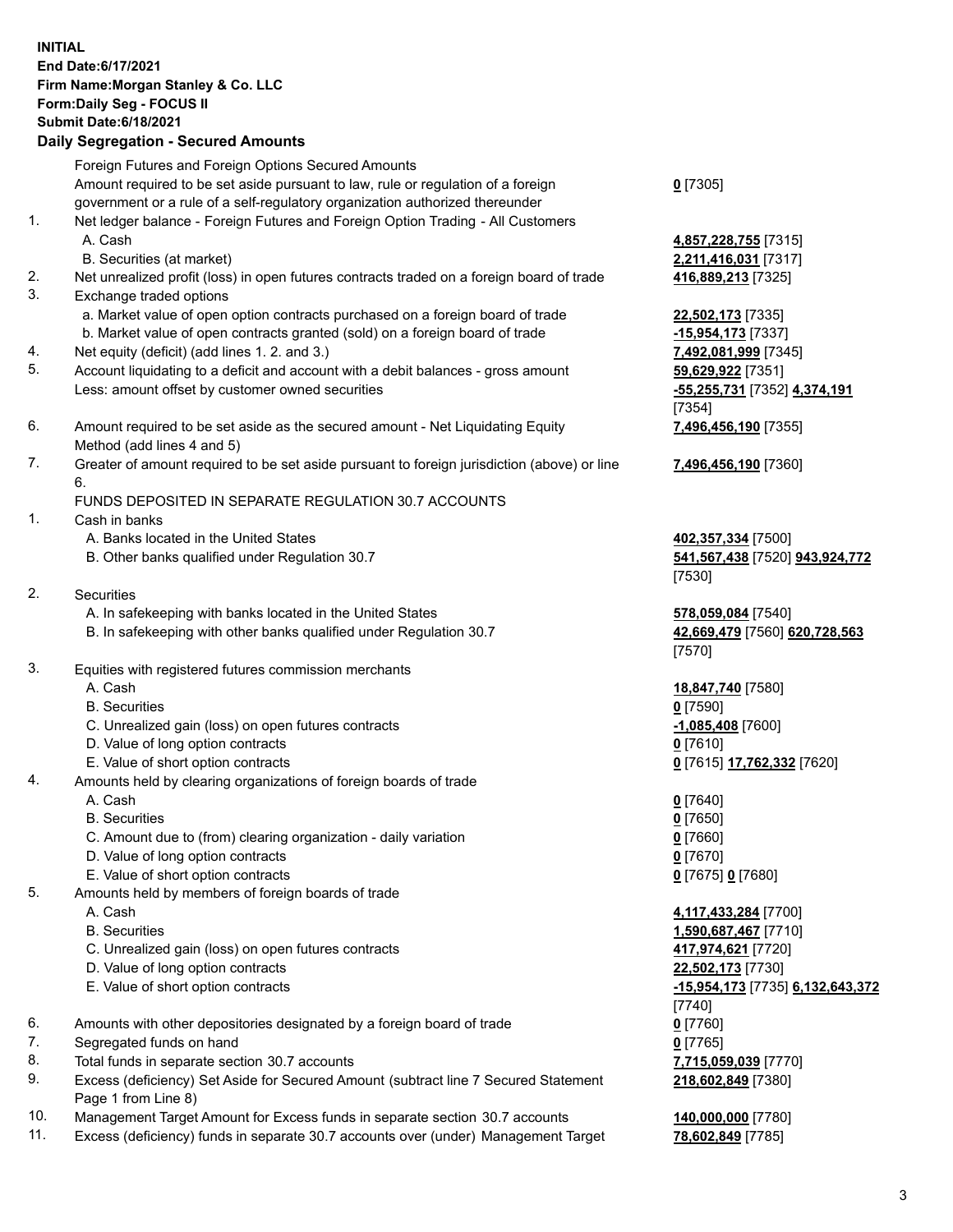## **INITIAL End Date:6/17/2021 Firm Name:Morgan Stanley & Co. LLC Form:Daily Seg - FOCUS II Submit Date:6/18/2021**

**Daily Segregation - Secured Amounts** Foreign Futures and Foreign Options Secured Amounts Amount required to be set aside pursuant to law, rule or regulation of a foreign government or a rule of a self-regulatory organization authorized thereunder 1. Net ledger balance - Foreign Futures and Foreign Option Trading - All Customers A. Cash **4,857,228,755** [7315] B. Securities (at market) **2,211,416,031** [7317] 2. Net unrealized profit (loss) in open futures contracts traded on a foreign board of trade **416,889,213** [7325] 3. Exchange traded options a. Market value of open option contracts purchased on a foreign board of trade **22,502,173** [7335] b. Market value of open contracts granted (sold) on a foreign board of trade **-15,954,173** [7337] 4. Net equity (deficit) (add lines 1. 2. and 3.) **7,492,081,999** [7345] 5. Account liquidating to a deficit and account with a debit balances - gross amount **59,629,922** [7351] Less: amount offset by customer owned securities **-55,255,731** [7352] **4,374,191** 6. Amount required to be set aside as the secured amount - Net Liquidating Equity Method (add lines 4 and 5) 7. Greater of amount required to be set aside pursuant to foreign jurisdiction (above) or line 6. FUNDS DEPOSITED IN SEPARATE REGULATION 30.7 ACCOUNTS 1. Cash in banks A. Banks located in the United States **402,357,334** [7500] B. Other banks qualified under Regulation 30.7 **541,567,438** [7520] **943,924,772** 2. Securities A. In safekeeping with banks located in the United States **578,059,084** [7540] B. In safekeeping with other banks qualified under Regulation 30.7 **42,669,479** [7560] **620,728,563** 3. Equities with registered futures commission merchants A. Cash **18,847,740** [7580] B. Securities **0** [7590] C. Unrealized gain (loss) on open futures contracts **-1,085,408** [7600] D. Value of long option contracts **0** [7610] E. Value of short option contracts **0** [7615] **17,762,332** [7620] 4. Amounts held by clearing organizations of foreign boards of trade A. Cash **0** [7640] B. Securities **0** [7650] C. Amount due to (from) clearing organization - daily variation **0** [7660] D. Value of long option contracts **0** [7670] E. Value of short option contracts **0** [7675] **0** [7680] 5. Amounts held by members of foreign boards of trade A. Cash **4,117,433,284** [7700] B. Securities **1,590,687,467** [7710] C. Unrealized gain (loss) on open futures contracts **417,974,621** [7720]

- 
- 
- 6. Amounts with other depositories designated by a foreign board of trade **0** [7760]
- 7. Segregated funds on hand **0** [7765]
- 8. Total funds in separate section 30.7 accounts **7,715,059,039** [7770]
- 9. Excess (deficiency) Set Aside for Secured Amount (subtract line 7 Secured Statement Page 1 from Line 8)
- 10. Management Target Amount for Excess funds in separate section 30.7 accounts **140,000,000** [7780]
- 11. Excess (deficiency) funds in separate 30.7 accounts over (under) Management Target **78,602,849** [7785]

**0** [7305]

[7354] **7,496,456,190** [7355]

**7,496,456,190** [7360]

[7530]

[7570]

 D. Value of long option contracts **22,502,173** [7730] E. Value of short option contracts **-15,954,173** [7735] **6,132,643,372** [7740] **218,602,849** [7380]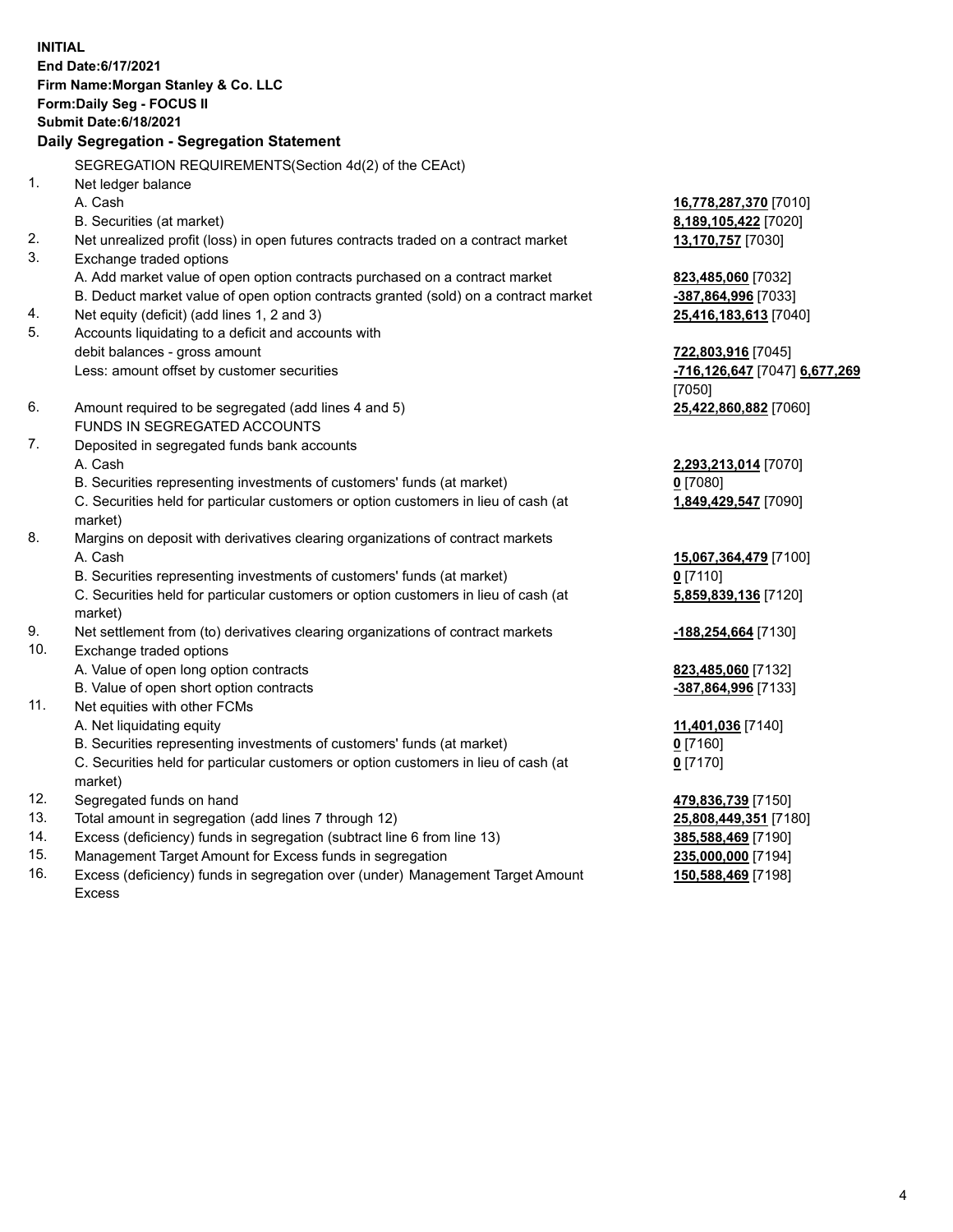**INITIAL End Date:6/17/2021 Firm Name:Morgan Stanley & Co. LLC Form:Daily Seg - FOCUS II Submit Date:6/18/2021 Daily Segregation - Segregation Statement** SEGREGATION REQUIREMENTS(Section 4d(2) of the CEAct) 1. Net ledger balance A. Cash **16,778,287,370** [7010] B. Securities (at market) **8,189,105,422** [7020] 2. Net unrealized profit (loss) in open futures contracts traded on a contract market **13,170,757** [7030] 3. Exchange traded options A. Add market value of open option contracts purchased on a contract market **823,485,060** [7032] B. Deduct market value of open option contracts granted (sold) on a contract market **-387,864,996** [7033] 4. Net equity (deficit) (add lines 1, 2 and 3) **25,416,183,613** [7040] 5. Accounts liquidating to a deficit and accounts with debit balances - gross amount **722,803,916** [7045] Less: amount offset by customer securities **-716,126,647** [7047] **6,677,269** [7050] 6. Amount required to be segregated (add lines 4 and 5) **25,422,860,882** [7060] FUNDS IN SEGREGATED ACCOUNTS 7. Deposited in segregated funds bank accounts A. Cash **2,293,213,014** [7070] B. Securities representing investments of customers' funds (at market) **0** [7080] C. Securities held for particular customers or option customers in lieu of cash (at market) **1,849,429,547** [7090] 8. Margins on deposit with derivatives clearing organizations of contract markets A. Cash **15,067,364,479** [7100] B. Securities representing investments of customers' funds (at market) **0** [7110] C. Securities held for particular customers or option customers in lieu of cash (at market) **5,859,839,136** [7120] 9. Net settlement from (to) derivatives clearing organizations of contract markets **-188,254,664** [7130] 10. Exchange traded options A. Value of open long option contracts **823,485,060** [7132] B. Value of open short option contracts **-387,864,996** [7133] 11. Net equities with other FCMs A. Net liquidating equity **11,401,036** [7140] B. Securities representing investments of customers' funds (at market) **0** [7160] C. Securities held for particular customers or option customers in lieu of cash (at market) **0** [7170] 12. Segregated funds on hand **479,836,739** [7150] 13. Total amount in segregation (add lines 7 through 12) **25,808,449,351** [7180] 14. Excess (deficiency) funds in segregation (subtract line 6 from line 13) **385,588,469** [7190]

- 15. Management Target Amount for Excess funds in segregation **235,000,000** [7194]
- 16. Excess (deficiency) funds in segregation over (under) Management Target Amount Excess

**150,588,469** [7198]